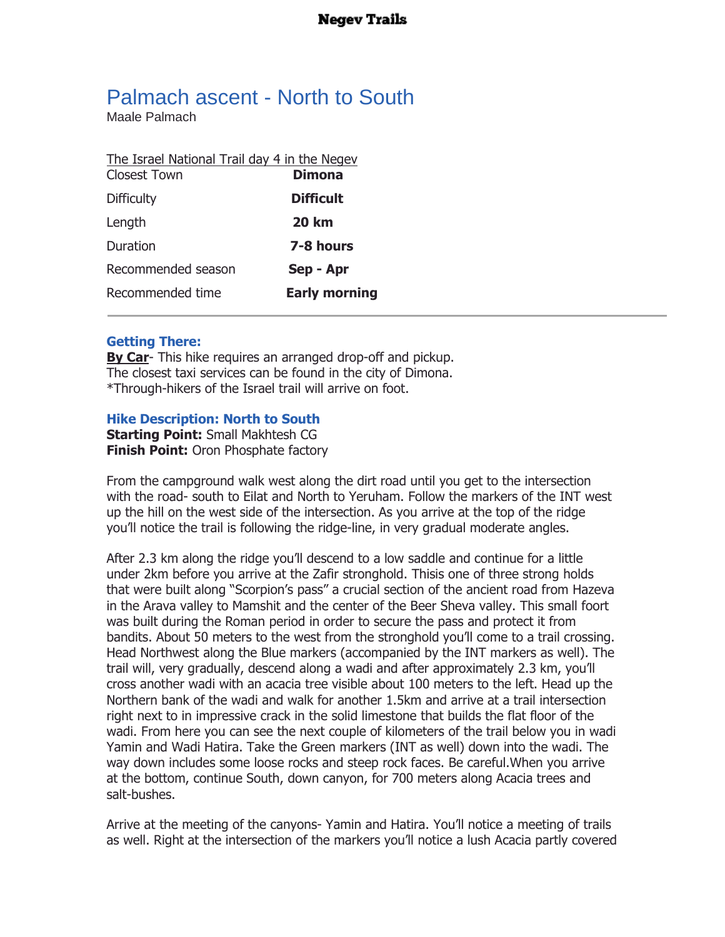## Palmach ascent - North to South

Maale Palmach

| The Israel National Trail day 4 in the Negev |                      |
|----------------------------------------------|----------------------|
| Closest Town                                 | <b>Dimona</b>        |
| <b>Difficulty</b>                            | <b>Difficult</b>     |
| Length                                       | <b>20 km</b>         |
| Duration                                     | 7-8 hours            |
| Recommended season                           | Sep - Apr            |
| Recommended time                             | <b>Early morning</b> |
|                                              |                      |

## **Getting There:**

**By Car**- This hike requires an arranged drop-off and pickup. The closest taxi services can be found in the city of Dimona. \*Through-hikers of the Israel trail will arrive on foot.

## **Hike Description: North to South**

**Starting Point:** Small Makhtesh CG **Finish Point:** Oron Phosphate factory

From the campground walk west along the dirt road until you get to the intersection with the road- south to Eilat and North to Yeruham. Follow the markers of the INT west up the hill on the west side of the intersection. As you arrive at the top of the ridge you'll notice the trail is following the ridge-line, in very gradual moderate angles.

After 2.3 km along the ridge you'll descend to a low saddle and continue for a little under 2km before you arrive at the Zafir stronghold. Thisis one of three strong holds that were built along "Scorpion's pass" a crucial section of the ancient road from Hazeva in the Arava valley to Mamshit and the center of the Beer Sheva valley. This small foort was built during the Roman period in order to secure the pass and protect it from bandits. About 50 meters to the west from the stronghold you'll come to a trail crossing. Head Northwest along the Blue markers (accompanied by the INT markers as well). The trail will, very gradually, descend along a wadi and after approximately 2.3 km, you'll cross another wadi with an acacia tree visible about 100 meters to the left. Head up the Northern bank of the wadi and walk for another 1.5km and arrive at a trail intersection right next to in impressive crack in the solid limestone that builds the flat floor of the wadi. From here you can see the next couple of kilometers of the trail below you in wadi Yamin and Wadi Hatira. Take the Green markers (INT as well) down into the wadi. The way down includes some loose rocks and steep rock faces. Be careful.When you arrive at the bottom, continue South, down canyon, for 700 meters along Acacia trees and salt-bushes.

Arrive at the meeting of the canyons- Yamin and Hatira. You'll notice a meeting of trails as well. Right at the intersection of the markers you'll notice a lush Acacia partly covered